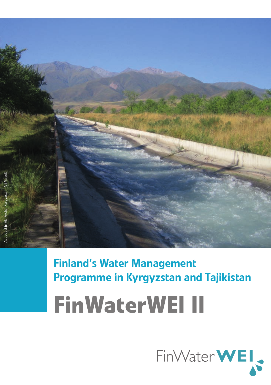

Finland's Water Management Programme in Kyrgyzstan and Tajikistan

**FinWaterWEI II**

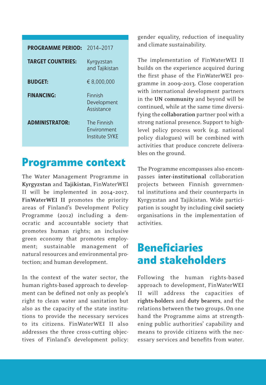| <b>PROGRAMME PERIOD:</b> | 2014-2017                                    |
|--------------------------|----------------------------------------------|
| <b>TARGET COUNTRIES:</b> | Kyrgyzstan<br>and Tajikistan                 |
| <b>BUDGET:</b>           | € 8.000.000                                  |
| <b>FINANCING:</b>        | Finnish<br>Development<br>Assistance         |
| <b>ADMINISTRATOR:</b>    | The Finnish<br>Fnvironment<br>Institute SYKF |

# **Programme context**

The Water Management Programme in **Kyrgyzstan** and **Tajikistan**, FinWaterWEI II will be implemented in 2014–2017. **FinWaterWEI II** promotes the priority areas of Finland's Development Policy Programme (2012) including a democratic and accountable society that promotes human rights; an inclusive green economy that promotes employment; sustainable management of natural resources and environmental protection; and human development.

In the context of the water sector, the human rights-based approach to development can be defined not only as people's right to clean water and sanitation but also as the capacity of the state institutions to provide the necessary services to its citizens. FinWaterWEI II also addresses the three cross-cutting objectives of Finland's development policy: gender equality, reduction of inequality and climate sustainability.

The implementation of FinWaterWEI II builds on the experience acquired during the first phase of the FinWaterWEI programme in 2009–2013. Close cooperation with international development partners in the **UN community** and beyond will be continued, while at the same time diversifying the **collaboration** partner pool with a strong national presence. Support to highlevel policy process work (e.g. national policy dialogues) will be combined with activities that produce concrete deliverables on the ground.

The Programme encompasses also encompasses **inter-institutional** collaboration projects between Finnish governmental institutions and their counterparts in Kyrgyzstan and Tajikistan. Wide participation is sought by including **civil society** organisations in the implementation of activities.

# **Beneficiaries and stakeholders**

Following the human rights-based approach to development, FinWaterWEI II will address the capacities of **rights-holders** and **duty bearers**, and the relations between the two groups. On one hand the Programme aims at strengthening public authorities' capability and means to provide citizens with the necessary services and benefits from water.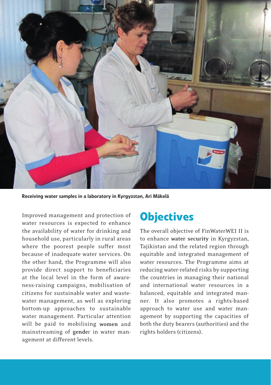

Receiving water samples in a laboratory in Kyrgyzstan, Ari Mäkelä

Improved management and protection of water resources is expected to enhance the availability of water for drinking and household use, particularly in rural areas where the poorest people suffer most because of inadequate water services. On the other hand, the Programme will also provide direct support to beneficiaries at the local level in the form of awareness-raising campaigns, mobilisation of citizens for sustainable water and wastewater management, as well as exploring bottom-up approaches to sustainable water management. Particular attention will be paid to mobilising **women** and mainstreaming of **gende**r in water management at different levels.

## **Objectives**

The overall objective of FinWaterWEI II is to enhance **water security** in Kyrgyzstan, Tajikistan and the related region through equitable and integrated management of water resources. The Programme aims at reducing water-related risks by supporting the countries in managing their national and international water resources in a balanced, equitable and integrated manner. It also promotes a rights-based approach to water use and water management by supporting the capacities of both the duty bearers (authorities) and the rights holders (citizens).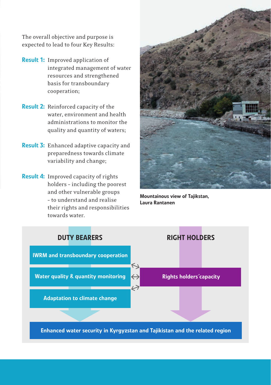The overall objective and purpose is expected to lead to four Key Results:

- Result 1: Improved application of integrated management of water resources and strengthened basis for transboundary cooperation;
- Result 2: Reinforced capacity of the water, environment and health administrations to monitor the quality and quantity of waters;
- **Result 3:** Enhanced adaptive capacity and preparedness towards climate variability and change;
- Result 4: Improved capacity of rights holders – including the poorest and other vulnerable groups – to understand and realise their rights and responsibilities towards water.



Mountainous view of Tajikstan, Laura Rantanen

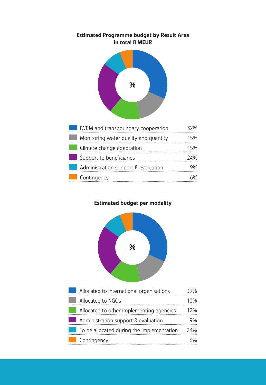#### Estimated Programme budget by Result Area in total 8 MEUR



### Estimated budget per modality



| Allocated to international organisations  |     |
|-------------------------------------------|-----|
| Allocated to NGOs                         | 10% |
| Allocated to other implementing agencies  | 17% |
| Administration support & evaluation       | YY, |
| To be allocated during the implementation | 24% |
| Contingency                               |     |

Graa 2.